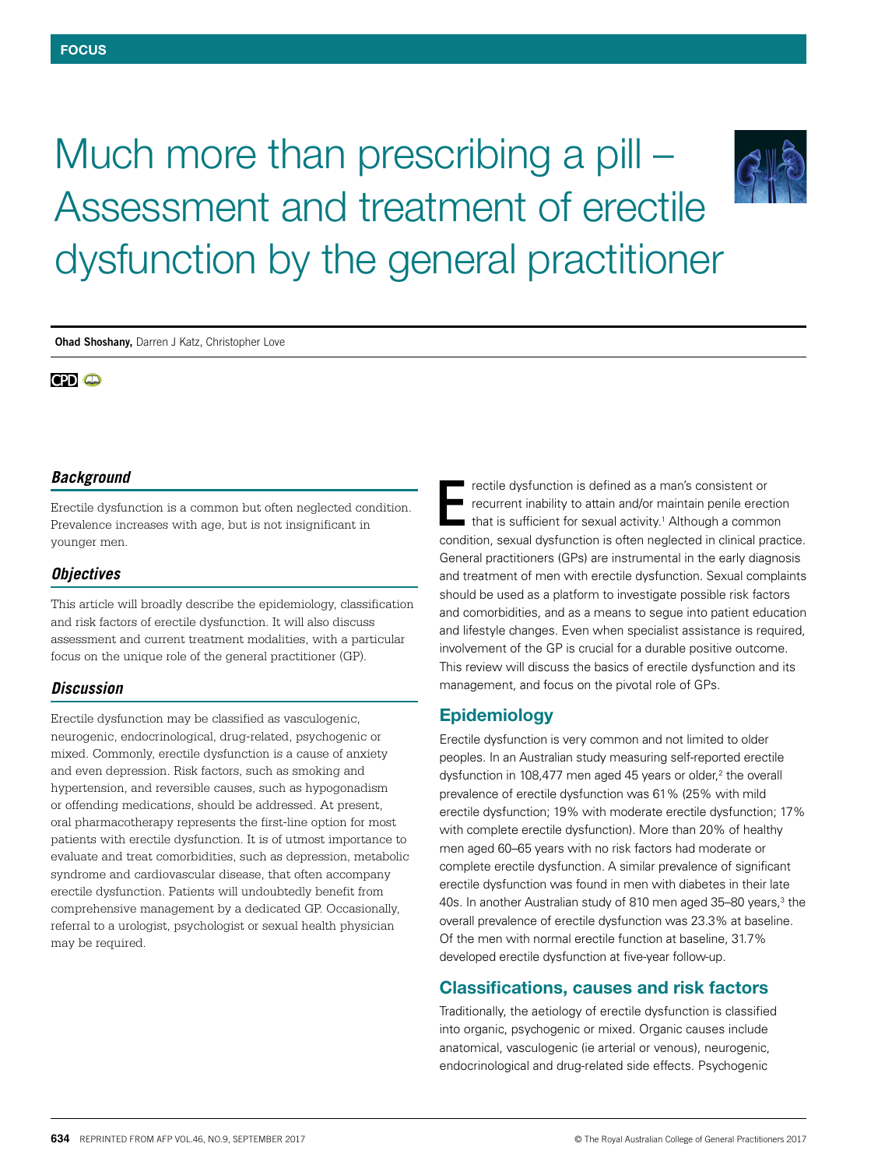# Much more than prescribing a pill – Assessment and treatment of erectile dysfunction by the general practitioner



**Ohad Shoshany,** Darren J Katz, Christopher Love

# **CPD** @

# *Background*

Erectile dysfunction is a common but often neglected condition. Prevalence increases with age, but is not insignificant in younger men.

# *Objectives*

This article will broadly describe the epidemiology, classification and risk factors of erectile dysfunction. It will also discuss assessment and current treatment modalities, with a particular focus on the unique role of the general practitioner (GP).

# *Discussion*

Erectile dysfunction may be classified as vasculogenic, neurogenic, endocrinological, drug-related, psychogenic or mixed. Commonly, erectile dysfunction is a cause of anxiety and even depression. Risk factors, such as smoking and hypertension, and reversible causes, such as hypogonadism or offending medications, should be addressed. At present, oral pharmacotherapy represents the first-line option for most patients with erectile dysfunction. It is of utmost importance to evaluate and treat comorbidities, such as depression, metabolic syndrome and cardiovascular disease, that often accompany erectile dysfunction. Patients will undoubtedly benefit from comprehensive management by a dedicated GP. Occasionally, referral to a urologist, psychologist or sexual health physician may be required.

rectile dysfunction is defined as a man's consistent or recurrent inability to attain and/or maintain penile erection that is sufficient for sexual activity.<sup>1</sup> Although a common condition, sexual dysfunction is often neglected in clinical practice. General practitioners (GPs) are instrumental in the early diagnosis and treatment of men with erectile dysfunction. Sexual complaints should be used as a platform to investigate possible risk factors and comorbidities, and as a means to segue into patient education and lifestyle changes. Even when specialist assistance is required, involvement of the GP is crucial for a durable positive outcome. This review will discuss the basics of erectile dysfunction and its management, and focus on the pivotal role of GPs. E

# Epidemiology

Erectile dysfunction is very common and not limited to older peoples. In an Australian study measuring self-reported erectile dysfunction in 108,477 men aged 45 years or older,<sup>2</sup> the overall prevalence of erectile dysfunction was 61% (25% with mild erectile dysfunction; 19% with moderate erectile dysfunction; 17% with complete erectile dysfunction). More than 20% of healthy men aged 60–65 years with no risk factors had moderate or complete erectile dysfunction. A similar prevalence of significant erectile dysfunction was found in men with diabetes in their late 40s. In another Australian study of 810 men aged 35-80 years,<sup>3</sup> the overall prevalence of erectile dysfunction was 23.3% at baseline. Of the men with normal erectile function at baseline, 31.7% developed erectile dysfunction at five-year follow-up.

# Classifications, causes and risk factors

Traditionally, the aetiology of erectile dysfunction is classified into organic, psychogenic or mixed. Organic causes include anatomical, vasculogenic (ie arterial or venous), neurogenic, endocrinological and drug-related side effects. Psychogenic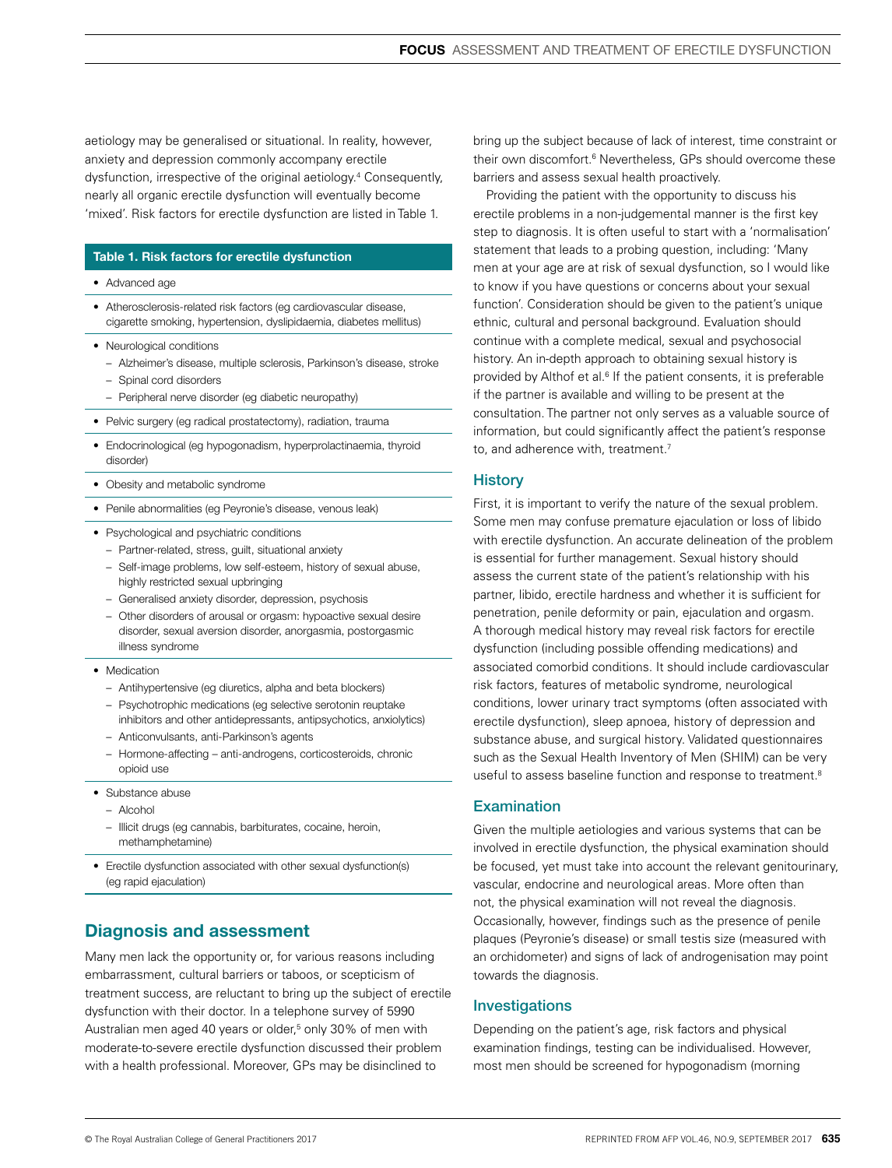aetiology may be generalised or situational. In reality, however, anxiety and depression commonly accompany erectile dysfunction, irrespective of the original aetiology.4 Consequently, nearly all organic erectile dysfunction will eventually become 'mixed'. Risk factors for erectile dysfunction are listed in Table 1.

## Table 1. Risk factors for erectile dysfunction

- Advanced age
- Atherosclerosis-related risk factors (eg cardiovascular disease, cigarette smoking, hypertension, dyslipidaemia, diabetes mellitus)
- Neurological conditions
	- Alzheimer's disease, multiple sclerosis, Parkinson's disease, stroke
	- Spinal cord disorders
	- Peripheral nerve disorder (eg diabetic neuropathy)
- Pelvic surgery (eg radical prostatectomy), radiation, trauma
- Endocrinological (eg hypogonadism, hyperprolactinaemia, thyroid disorder)
- Obesity and metabolic syndrome
- Penile abnormalities (eg Peyronie's disease, venous leak)
- Psychological and psychiatric conditions
	- Partner-related, stress, guilt, situational anxiety
	- Self-image problems, low self-esteem, history of sexual abuse, highly restricted sexual upbringing
	- Generalised anxiety disorder, depression, psychosis
	- Other disorders of arousal or orgasm: hypoactive sexual desire disorder, sexual aversion disorder, anorgasmia, postorgasmic illness syndrome
- Medication
	- Antihypertensive (eg diuretics, alpha and beta blockers)
	- Psychotrophic medications (eg selective serotonin reuptake inhibitors and other antidepressants, antipsychotics, anxiolytics)
	- Anticonvulsants, anti-Parkinson's agents
	- Hormone-affecting anti-androgens, corticosteroids, chronic opioid use
- Substance abuse
	- Alcohol
	- Illicit drugs (eg cannabis, barbiturates, cocaine, heroin, methamphetamine)
- Erectile dysfunction associated with other sexual dysfunction(s) (eg rapid ejaculation)

# Diagnosis and assessment

Many men lack the opportunity or, for various reasons including embarrassment, cultural barriers or taboos, or scepticism of treatment success, are reluctant to bring up the subject of erectile dysfunction with their doctor. In a telephone survey of 5990 Australian men aged 40 years or older,<sup>5</sup> only 30% of men with moderate-to-severe erectile dysfunction discussed their problem with a health professional. Moreover, GPs may be disinclined to

bring up the subject because of lack of interest, time constraint or their own discomfort.6 Nevertheless, GPs should overcome these barriers and assess sexual health proactively.

Providing the patient with the opportunity to discuss his erectile problems in a non-judgemental manner is the first key step to diagnosis. It is often useful to start with a 'normalisation' statement that leads to a probing question, including: 'Many men at your age are at risk of sexual dysfunction, so I would like to know if you have questions or concerns about your sexual function'. Consideration should be given to the patient's unique ethnic, cultural and personal background. Evaluation should continue with a complete medical, sexual and psychosocial history. An in-depth approach to obtaining sexual history is provided by Althof et al.<sup>6</sup> If the patient consents, it is preferable if the partner is available and willing to be present at the consultation. The partner not only serves as a valuable source of information, but could significantly affect the patient's response to, and adherence with, treatment.<sup>7</sup>

## **History**

First, it is important to verify the nature of the sexual problem. Some men may confuse premature ejaculation or loss of libido with erectile dysfunction. An accurate delineation of the problem is essential for further management. Sexual history should assess the current state of the patient's relationship with his partner, libido, erectile hardness and whether it is sufficient for penetration, penile deformity or pain, ejaculation and orgasm. A thorough medical history may reveal risk factors for erectile dysfunction (including possible offending medications) and associated comorbid conditions. It should include cardiovascular risk factors, features of metabolic syndrome, neurological conditions, lower urinary tract symptoms (often associated with erectile dysfunction), sleep apnoea, history of depression and substance abuse, and surgical history. Validated questionnaires such as the Sexual Health Inventory of Men (SHIM) can be very useful to assess baseline function and response to treatment.<sup>8</sup>

## **Examination**

Given the multiple aetiologies and various systems that can be involved in erectile dysfunction, the physical examination should be focused, yet must take into account the relevant genitourinary, vascular, endocrine and neurological areas. More often than not, the physical examination will not reveal the diagnosis. Occasionally, however, findings such as the presence of penile plaques (Peyronie's disease) or small testis size (measured with an orchidometer) and signs of lack of androgenisation may point towards the diagnosis.

# Investigations

Depending on the patient's age, risk factors and physical examination findings, testing can be individualised. However, most men should be screened for hypogonadism (morning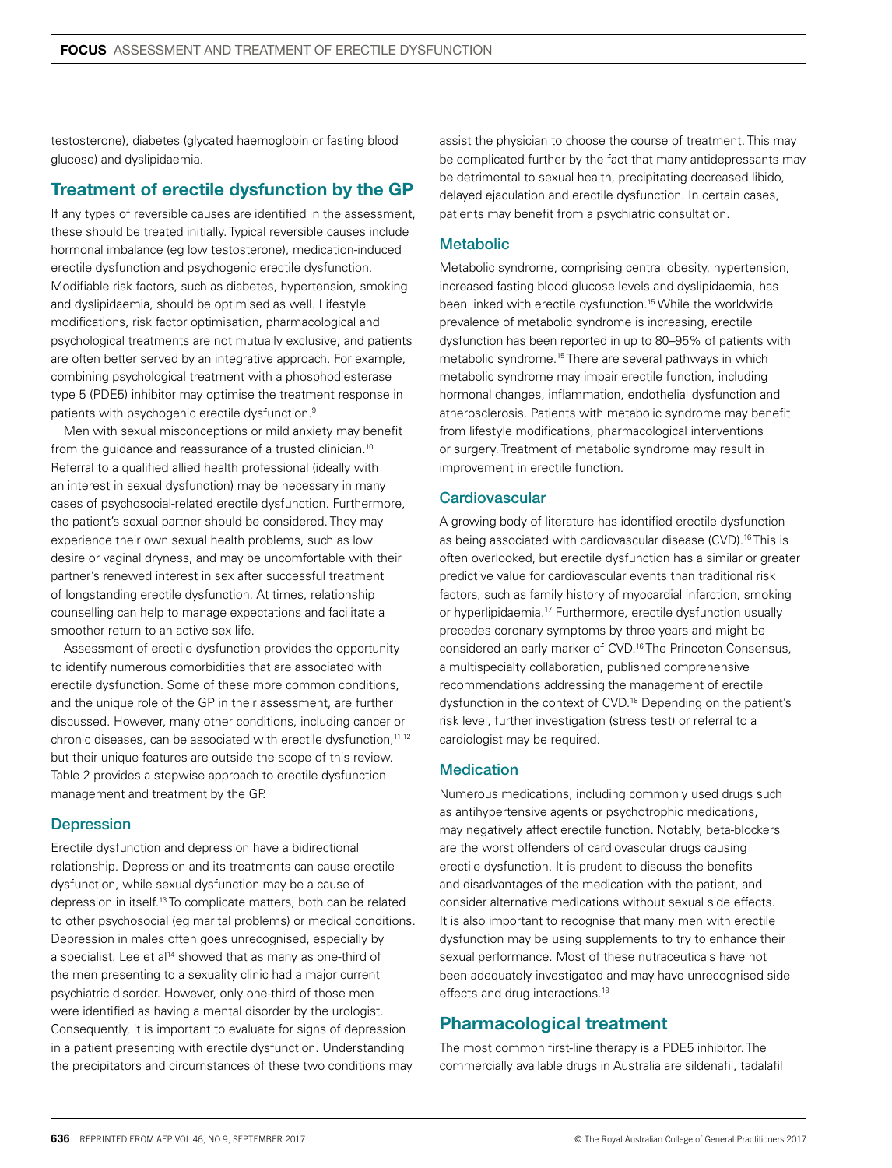testosterone), diabetes (glycated haemoglobin or fasting blood glucose) and dyslipidaemia.

# Treatment of erectile dysfunction by the GP

If any types of reversible causes are identified in the assessment, these should be treated initially. Typical reversible causes include hormonal imbalance (eg low testosterone), medication-induced erectile dysfunction and psychogenic erectile dysfunction. Modifiable risk factors, such as diabetes, hypertension, smoking and dyslipidaemia, should be optimised as well. Lifestyle modifications, risk factor optimisation, pharmacological and psychological treatments are not mutually exclusive, and patients are often better served by an integrative approach. For example, combining psychological treatment with a phosphodiesterase type 5 (PDE5) inhibitor may optimise the treatment response in patients with psychogenic erectile dysfunction.9

Men with sexual misconceptions or mild anxiety may benefit from the guidance and reassurance of a trusted clinician.<sup>10</sup> Referral to a qualified allied health professional (ideally with an interest in sexual dysfunction) may be necessary in many cases of psychosocial-related erectile dysfunction. Furthermore, the patient's sexual partner should be considered. They may experience their own sexual health problems, such as low desire or vaginal dryness, and may be uncomfortable with their partner's renewed interest in sex after successful treatment of longstanding erectile dysfunction. At times, relationship counselling can help to manage expectations and facilitate a smoother return to an active sex life.

Assessment of erectile dysfunction provides the opportunity to identify numerous comorbidities that are associated with erectile dysfunction. Some of these more common conditions, and the unique role of the GP in their assessment, are further discussed. However, many other conditions, including cancer or chronic diseases, can be associated with erectile dysfunction, 11,12 but their unique features are outside the scope of this review. Table 2 provides a stepwise approach to erectile dysfunction management and treatment by the GP.

# **Depression**

Erectile dysfunction and depression have a bidirectional relationship. Depression and its treatments can cause erectile dysfunction, while sexual dysfunction may be a cause of depression in itself.13 To complicate matters, both can be related to other psychosocial (eg marital problems) or medical conditions. Depression in males often goes unrecognised, especially by a specialist. Lee et al<sup>14</sup> showed that as many as one-third of the men presenting to a sexuality clinic had a major current psychiatric disorder. However, only one-third of those men were identified as having a mental disorder by the urologist. Consequently, it is important to evaluate for signs of depression in a patient presenting with erectile dysfunction. Understanding the precipitators and circumstances of these two conditions may

assist the physician to choose the course of treatment. This may be complicated further by the fact that many antidepressants may be detrimental to sexual health, precipitating decreased libido, delayed ejaculation and erectile dysfunction. In certain cases, patients may benefit from a psychiatric consultation.

## **Metabolic**

Metabolic syndrome, comprising central obesity, hypertension, increased fasting blood glucose levels and dyslipidaemia, has been linked with erectile dysfunction.15 While the worldwide prevalence of metabolic syndrome is increasing, erectile dysfunction has been reported in up to 80–95% of patients with metabolic syndrome.15 There are several pathways in which metabolic syndrome may impair erectile function, including hormonal changes, inflammation, endothelial dysfunction and atherosclerosis. Patients with metabolic syndrome may benefit from lifestyle modifications, pharmacological interventions or surgery. Treatment of metabolic syndrome may result in improvement in erectile function.

## **Cardiovascular**

A growing body of literature has identified erectile dysfunction as being associated with cardiovascular disease (CVD).<sup>16</sup> This is often overlooked, but erectile dysfunction has a similar or greater predictive value for cardiovascular events than traditional risk factors, such as family history of myocardial infarction, smoking or hyperlipidaemia.17 Furthermore, erectile dysfunction usually precedes coronary symptoms by three years and might be considered an early marker of CVD.16 The Princeton Consensus, a multispecialty collaboration, published comprehensive recommendations addressing the management of erectile dysfunction in the context of CVD.18 Depending on the patient's risk level, further investigation (stress test) or referral to a cardiologist may be required.

## **Medication**

Numerous medications, including commonly used drugs such as antihypertensive agents or psychotrophic medications, may negatively affect erectile function. Notably, beta-blockers are the worst offenders of cardiovascular drugs causing erectile dysfunction. It is prudent to discuss the benefits and disadvantages of the medication with the patient, and consider alternative medications without sexual side effects. It is also important to recognise that many men with erectile dysfunction may be using supplements to try to enhance their sexual performance. Most of these nutraceuticals have not been adequately investigated and may have unrecognised side effects and drug interactions.<sup>19</sup>

# Pharmacological treatment

The most common first-line therapy is a PDE5 inhibitor. The commercially available drugs in Australia are sildenafil, tadalafil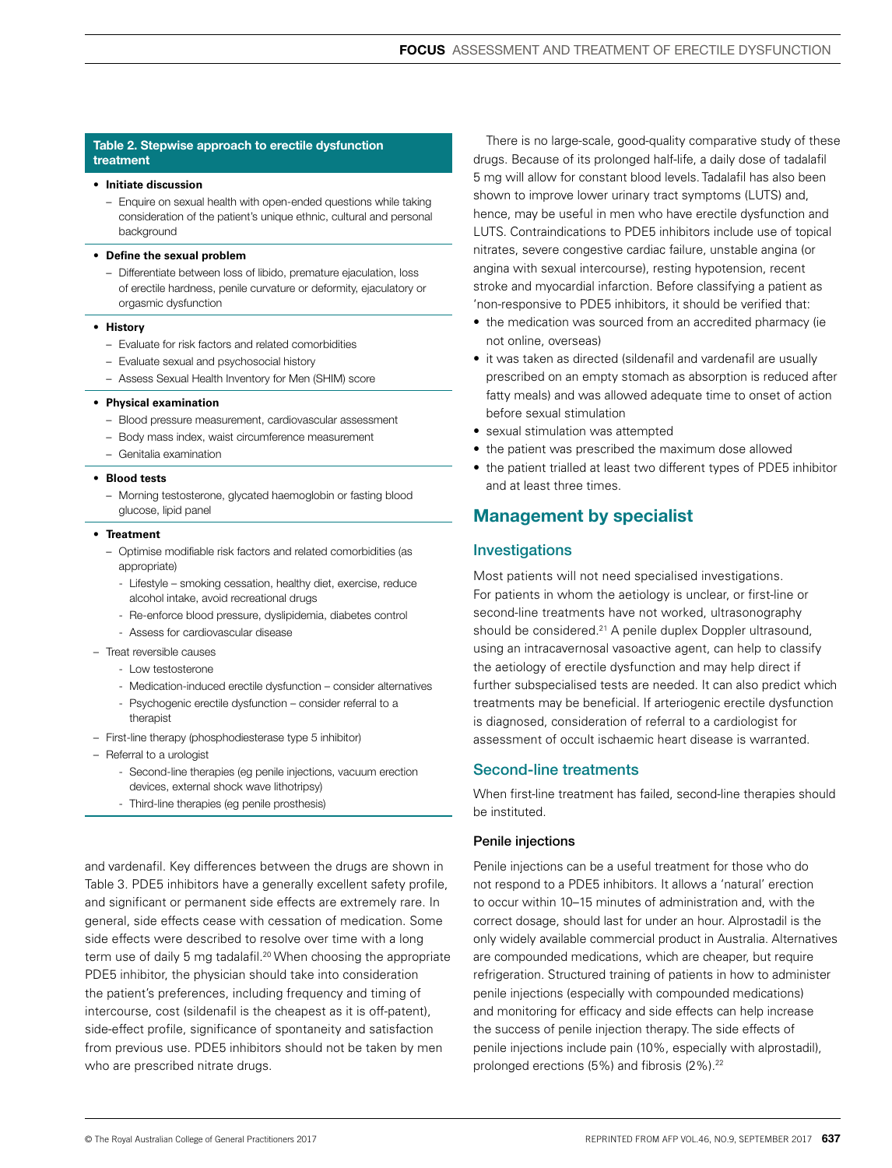## Table 2. Stepwise approach to erectile dysfunction treatment

#### • **Initiate discussion**

– Enquire on sexual health with open-ended questions while taking consideration of the patient's unique ethnic, cultural and personal background

#### • **Define the sexual problem**

– Differentiate between loss of libido, premature ejaculation, loss of erectile hardness, penile curvature or deformity, ejaculatory or orgasmic dysfunction

#### • **History**

- Evaluate for risk factors and related comorbidities
- Evaluate sexual and psychosocial history
- Assess Sexual Health Inventory for Men (SHIM) score

#### • **Physical examination**

- Blood pressure measurement, cardiovascular assessment
- Body mass index, waist circumference measurement
- Genitalia examination

#### • **Blood tests**

– Morning testosterone, glycated haemoglobin or fasting blood glucose, lipid panel

#### • **Treatment**

- Optimise modifiable risk factors and related comorbidities (as appropriate)
	- Lifestyle smoking cessation, healthy diet, exercise, reduce alcohol intake, avoid recreational drugs
	- Re-enforce blood pressure, dyslipidemia, diabetes control - Assess for cardiovascular disease
- Treat reversible causes
	- Low testosterone
	- Medication-induced erectile dysfunction consider alternatives
	- Psychogenic erectile dysfunction consider referral to a therapist
- First-line therapy (phosphodiesterase type 5 inhibitor)
- Referral to a urologist
	- Second-line therapies (eg penile injections, vacuum erection devices, external shock wave lithotripsy)
	- Third-line therapies (eg penile prosthesis)

and vardenafil. Key differences between the drugs are shown in Table 3. PDE5 inhibitors have a generally excellent safety profile, and significant or permanent side effects are extremely rare. In general, side effects cease with cessation of medication. Some side effects were described to resolve over time with a long term use of daily 5 mg tadalafil.<sup>20</sup> When choosing the appropriate PDE5 inhibitor, the physician should take into consideration the patient's preferences, including frequency and timing of intercourse, cost (sildenafil is the cheapest as it is off-patent), side-effect profile, significance of spontaneity and satisfaction from previous use. PDE5 inhibitors should not be taken by men who are prescribed nitrate drugs.

There is no large-scale, good-quality comparative study of these drugs. Because of its prolonged half-life, a daily dose of tadalafil 5 mg will allow for constant blood levels. Tadalafil has also been shown to improve lower urinary tract symptoms (LUTS) and, hence, may be useful in men who have erectile dysfunction and LUTS. Contraindications to PDE5 inhibitors include use of topical nitrates, severe congestive cardiac failure, unstable angina (or angina with sexual intercourse), resting hypotension, recent stroke and myocardial infarction. Before classifying a patient as 'non-responsive to PDE5 inhibitors, it should be verified that:

- the medication was sourced from an accredited pharmacy (ie) not online, overseas)
- it was taken as directed (sildenafil and vardenafil are usually prescribed on an empty stomach as absorption is reduced after fatty meals) and was allowed adequate time to onset of action before sexual stimulation
- sexual stimulation was attempted
- the patient was prescribed the maximum dose allowed
- the patient trialled at least two different types of PDE5 inhibitor and at least three times.

# Management by specialist

# Investigations

Most patients will not need specialised investigations. For patients in whom the aetiology is unclear, or first-line or second-line treatments have not worked, ultrasonography should be considered.<sup>21</sup> A penile duplex Doppler ultrasound, using an intracavernosal vasoactive agent, can help to classify the aetiology of erectile dysfunction and may help direct if further subspecialised tests are needed. It can also predict which treatments may be beneficial. If arteriogenic erectile dysfunction is diagnosed, consideration of referral to a cardiologist for assessment of occult ischaemic heart disease is warranted.

## Second-line treatments

When first-line treatment has failed, second-line therapies should be instituted.

## Penile injections

Penile injections can be a useful treatment for those who do not respond to a PDE5 inhibitors. It allows a 'natural' erection to occur within 10–15 minutes of administration and, with the correct dosage, should last for under an hour. Alprostadil is the only widely available commercial product in Australia. Alternatives are compounded medications, which are cheaper, but require refrigeration. Structured training of patients in how to administer penile injections (especially with compounded medications) and monitoring for efficacy and side effects can help increase the success of penile injection therapy. The side effects of penile injections include pain (10%, especially with alprostadil), prolonged erections (5%) and fibrosis (2%).<sup>22</sup>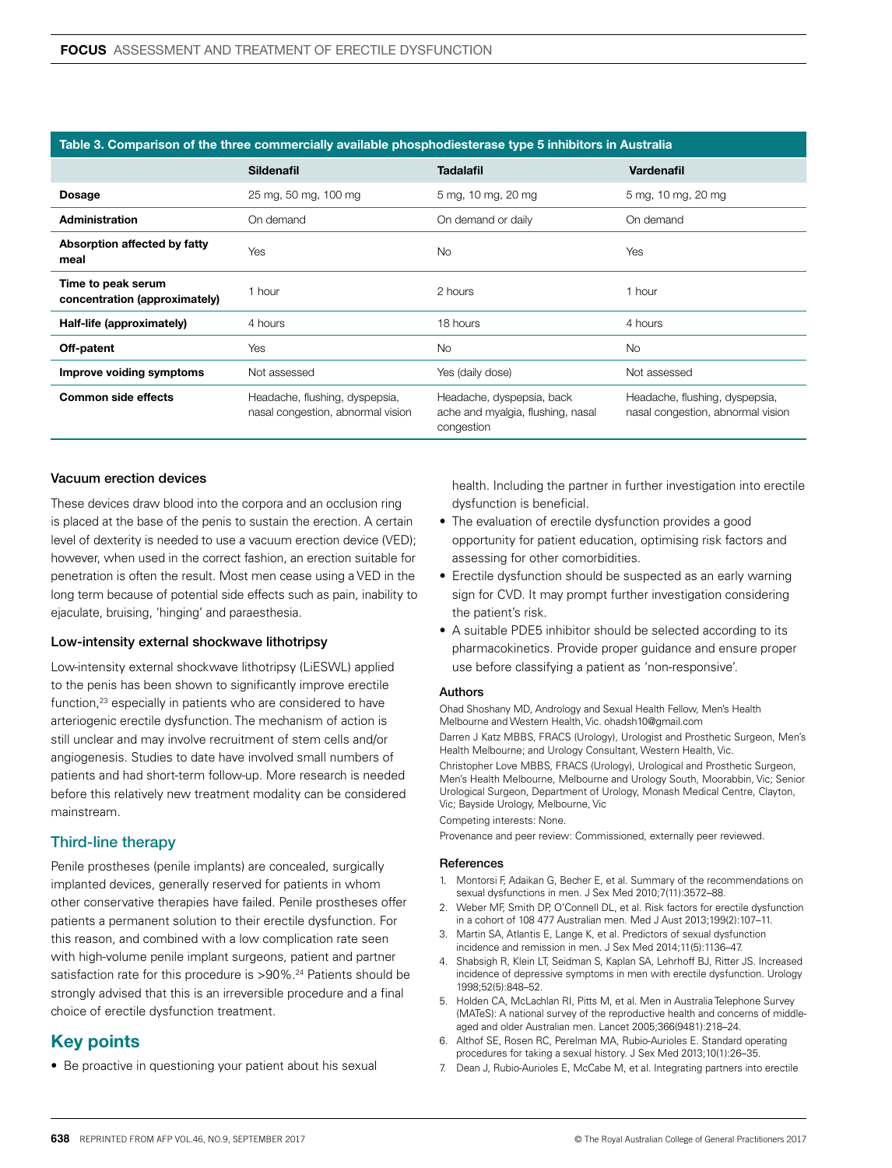| Table 3. Comparison of the three commercially available phosphodiesterase type 5 inhibitors in Australia |                                                                     |                                                                              |                                                                     |
|----------------------------------------------------------------------------------------------------------|---------------------------------------------------------------------|------------------------------------------------------------------------------|---------------------------------------------------------------------|
|                                                                                                          | <b>Sildenafil</b>                                                   | <b>Tadalafil</b>                                                             | <b>Vardenafil</b>                                                   |
| Dosage                                                                                                   | 25 mg, 50 mg, 100 mg                                                | 5 mg, 10 mg, 20 mg                                                           | 5 mg, 10 mg, 20 mg                                                  |
| <b>Administration</b>                                                                                    | On demand                                                           | On demand or daily                                                           | On demand                                                           |
| Absorption affected by fatty<br>meal                                                                     | Yes                                                                 | <b>No</b>                                                                    | Yes                                                                 |
| Time to peak serum<br>concentration (approximately)                                                      | 1 hour                                                              | 2 hours                                                                      | 1 hour                                                              |
| Half-life (approximately)                                                                                | 4 hours                                                             | 18 hours                                                                     | 4 hours                                                             |
| Off-patent                                                                                               | Yes                                                                 | <b>No</b>                                                                    | <b>No</b>                                                           |
| Improve voiding symptoms                                                                                 | Not assessed                                                        | Yes (daily dose)                                                             | Not assessed                                                        |
| <b>Common side effects</b>                                                                               | Headache, flushing, dyspepsia,<br>nasal congestion, abnormal vision | Headache, dyspepsia, back<br>ache and myalgia, flushing, nasal<br>congestion | Headache, flushing, dyspepsia,<br>nasal congestion, abnormal vision |

## Vacuum erection devices

These devices draw blood into the corpora and an occlusion ring is placed at the base of the penis to sustain the erection. A certain level of dexterity is needed to use a vacuum erection device (VED); however, when used in the correct fashion, an erection suitable for penetration is often the result. Most men cease using a VED in the long term because of potential side effects such as pain, inability to ejaculate, bruising, 'hinging' and paraesthesia.

## Low-intensity external shockwave lithotripsy

Low-intensity external shockwave lithotripsy (LiESWL) applied to the penis has been shown to significantly improve erectile function,<sup>23</sup> especially in patients who are considered to have arteriogenic erectile dysfunction. The mechanism of action is still unclear and may involve recruitment of stem cells and/or angiogenesis. Studies to date have involved small numbers of patients and had short-term follow-up. More research is needed before this relatively new treatment modality can be considered mainstream.

## Third-line therapy

Penile prostheses (penile implants) are concealed, surgically implanted devices, generally reserved for patients in whom other conservative therapies have failed. Penile prostheses offer patients a permanent solution to their erectile dysfunction. For this reason, and combined with a low complication rate seen with high-volume penile implant surgeons, patient and partner satisfaction rate for this procedure is >90%.<sup>24</sup> Patients should be strongly advised that this is an irreversible procedure and a final choice of erectile dysfunction treatment.

# Key points

• Be proactive in questioning your patient about his sexual

health. Including the partner in further investigation into erectile dysfunction is beneficial.

- The evaluation of erectile dysfunction provides a good opportunity for patient education, optimising risk factors and assessing for other comorbidities.
- Erectile dysfunction should be suspected as an early warning sign for CVD. It may prompt further investigation considering the patient's risk.
- A suitable PDE5 inhibitor should be selected according to its pharmacokinetics. Provide proper guidance and ensure proper use before classifying a patient as 'non-responsive'.

## Authors

Ohad Shoshany MD, Andrology and Sexual Health Fellow, Men's Health Melbourne and Western Health, Vic. ohadsh10@gmail.com

Darren J Katz MBBS, FRACS (Urology), Urologist and Prosthetic Surgeon, Men's Health Melbourne; and Urology Consultant, Western Health, Vic.

Christopher Love MBBS, FRACS (Urology), Urological and Prosthetic Surgeon, Men's Health Melbourne, Melbourne and Urology South, Moorabbin, Vic; Senior Urological Surgeon, Department of Urology, Monash Medical Centre, Clayton, Vic; Bayside Urology, Melbourne, Vic

Competing interests: None.

Provenance and peer review: Commissioned, externally peer reviewed.

#### References

- 1. Montorsi F, Adaikan G, Becher E, et al. Summary of the recommendations on sexual dysfunctions in men. J Sex Med 2010;7(11):3572–88.
- 2. Weber MF, Smith DP, O'Connell DL, et al. Risk factors for erectile dysfunction in a cohort of 108 477 Australian men. Med J Aust 2013;199(2):107–11.
- 3. Martin SA, Atlantis E, Lange K, et al. Predictors of sexual dysfunction incidence and remission in men. J Sex Med 2014;11(5):1136–47.
- 4. Shabsigh R, Klein LT, Seidman S, Kaplan SA, Lehrhoff BJ, Ritter JS. Increased incidence of depressive symptoms in men with erectile dysfunction. Urology 1998;52(5):848–52.
- 5. Holden CA, McLachlan RI, Pitts M, et al. Men in Australia Telephone Survey (MATeS): A national survey of the reproductive health and concerns of middleaged and older Australian men. Lancet 2005;366(9481):218–24.
- 6. Althof SE, Rosen RC, Perelman MA, Rubio-Aurioles E. Standard operating procedures for taking a sexual history. J Sex Med 2013;10(1):26–35.
- 7. Dean J, Rubio-Aurioles E, McCabe M, et al. Integrating partners into erectile